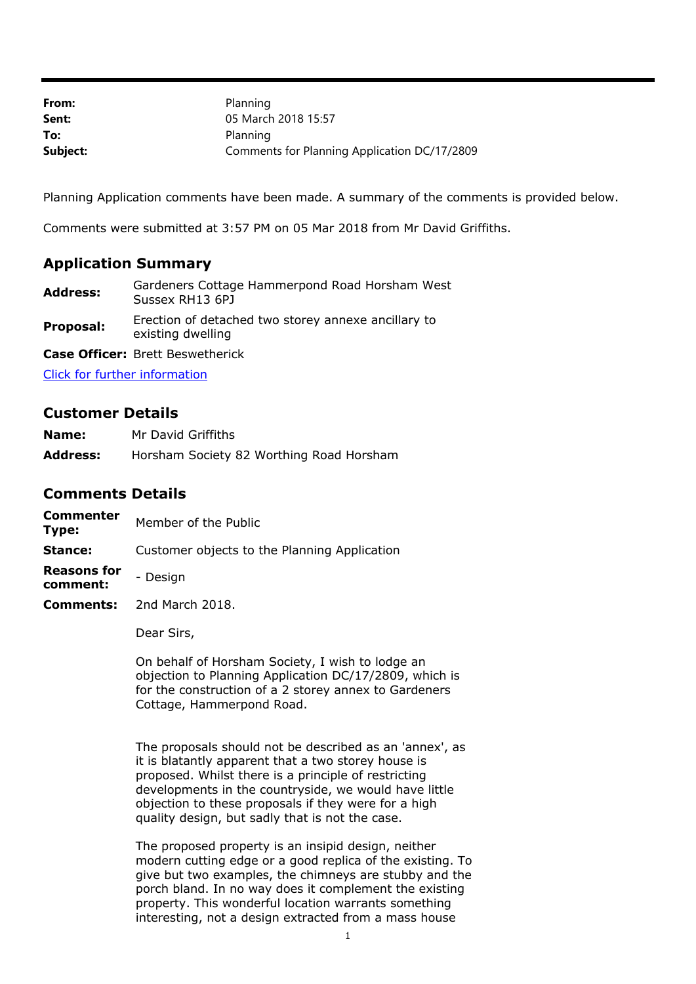| From:    | Planning                                     |
|----------|----------------------------------------------|
| Sent:    | 05 March 2018 15:57                          |
| To:      | Planning                                     |
| Subject: | Comments for Planning Application DC/17/2809 |

Planning Application comments have been made. A summary of the comments is provided below.

Comments were submitted at 3:57 PM on 05 Mar 2018 from Mr David Griffiths.

## **Application Summary**

| <b>Address:</b> | Gardeners Cottage Hammerpond Road Horsham West |
|-----------------|------------------------------------------------|
|                 | Sussex RH13 6PJ                                |
|                 |                                                |

**Proposal:** Erection of detached two storey annexe ancillary to existing dwelling

**Case Officer:** Brett Beswetherick

[Click for further information](https://public-access.horsham.gov.uk/public-access//centralDistribution.do?caseType=Application&keyVal=P11QGRIJKBK00)

## **Customer Details**

| Name:           | Mr David Griffiths                       |
|-----------------|------------------------------------------|
| <b>Address:</b> | Horsham Society 82 Worthing Road Horsham |

## **Comments Details**

| Commenter<br>Type: | Member of the Public                         |
|--------------------|----------------------------------------------|
| Stance:            | Customer objects to the Planning Application |
| <b>Reasons for</b> | Doolan                                       |

- **comment:** Design
- **Comments:** 2nd March 2018.

Dear Sirs,

On behalf of Horsham Society, I wish to lodge an objection to Planning Application DC/17/2809, which is for the construction of a 2 storey annex to Gardeners Cottage, Hammerpond Road.

The proposals should not be described as an 'annex', as it is blatantly apparent that a two storey house is proposed. Whilst there is a principle of restricting developments in the countryside, we would have little objection to these proposals if they were for a high quality design, but sadly that is not the case.

The proposed property is an insipid design, neither modern cutting edge or a good replica of the existing. To give but two examples, the chimneys are stubby and the porch bland. In no way does it complement the existing property. This wonderful location warrants something interesting, not a design extracted from a mass house